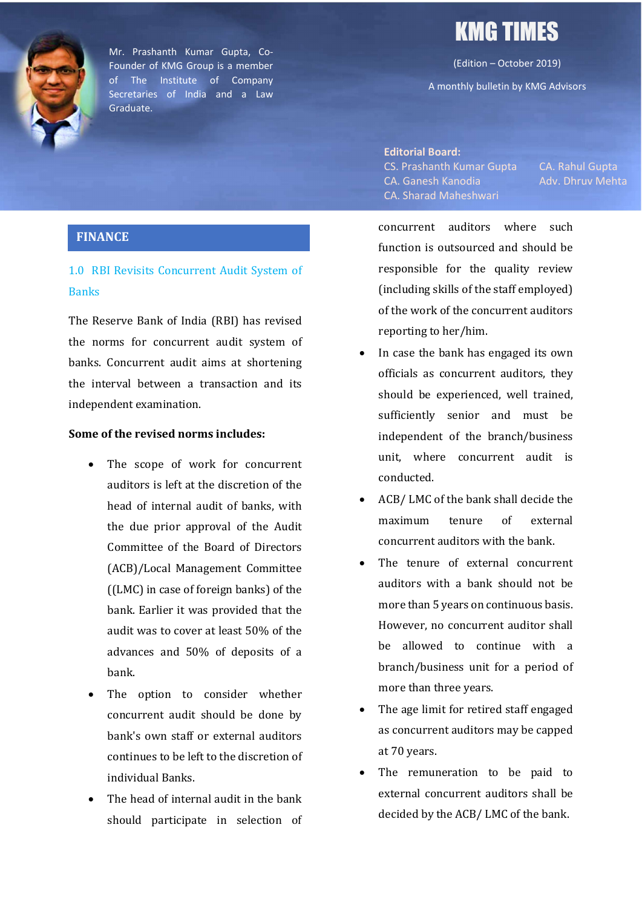

Mr. Prashanth Kumar Gupta, Co-Founder of KMG Group is a member of The Institute of Company Secretaries of India and a Law Graduate.

# KMG TIMES

(Edition – October 2019)

A monthly bulletin by KMG Advisors

Editorial Board: CS. Prashanth Kumar Gupta CA. Rahul Gupta CA. Ganesh Kanodia Adv. Dhruv Mehta CA. Sharad Maheshwari

### FINANCE

### 1.0 RBI Revisits Concurrent Audit System of Banks

The Reserve Bank of India (RBI) has revised the norms for concurrent audit system of banks. Concurrent audit aims at shortening the interval between a transaction and its independent examination.

### Some of the revised norms includes:

- The scope of work for concurrent auditors is left at the discretion of the head of internal audit of banks, with the due prior approval of the Audit Committee of the Board of Directors (ACB)/Local Management Committee ((LMC) in case of foreign banks) of the bank. Earlier it was provided that the audit was to cover at least 50% of the advances and 50% of deposits of a bank.
- The option to consider whether concurrent audit should be done by bank's own staff or external auditors continues to be left to the discretion of individual Banks.
- The head of internal audit in the bank should participate in selection of

concurrent auditors where such function is outsourced and should be responsible for the quality review (including skills of the staff employed) of the work of the concurrent auditors reporting to her/him.

- In case the bank has engaged its own officials as concurrent auditors, they should be experienced, well trained, sufficiently senior and must be independent of the branch/business unit, where concurrent audit is conducted.
- ACB/ LMC of the bank shall decide the maximum tenure of external concurrent auditors with the bank.
- The tenure of external concurrent auditors with a bank should not be more than 5 years on continuous basis. However, no concurrent auditor shall be allowed to continue with a branch/business unit for a period of more than three years.
- The age limit for retired staff engaged as concurrent auditors may be capped at 70 years.
- The remuneration to be paid to external concurrent auditors shall be decided by the ACB/ LMC of the bank.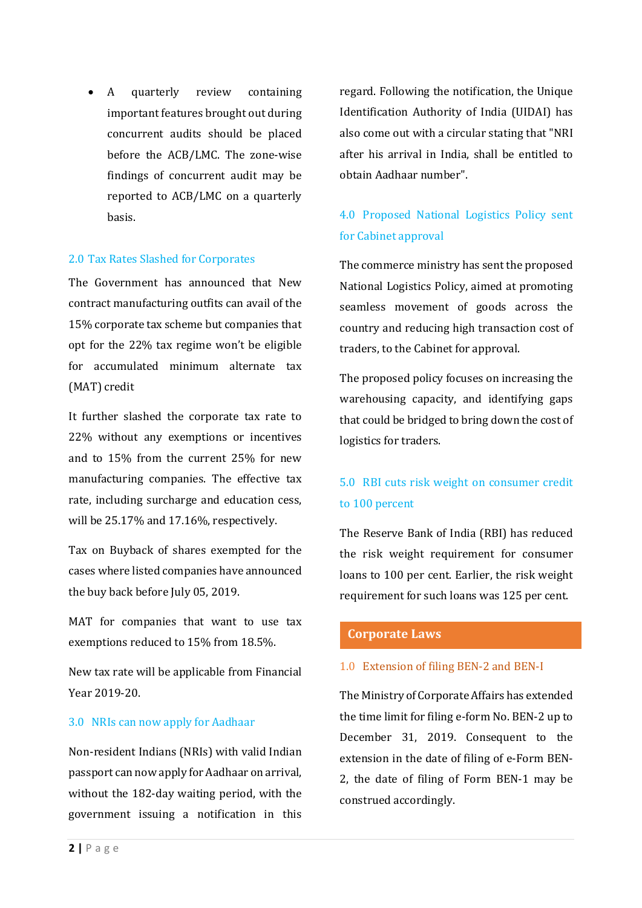A quarterly review containing important features brought out during concurrent audits should be placed before the ACB/LMC. The zone-wise findings of concurrent audit may be reported to ACB/LMC on a quarterly basis.

### 2.0 Tax Rates Slashed for Corporates

The Government has announced that New contract manufacturing outfits can avail of the 15% corporate tax scheme but companies that opt for the 22% tax regime won't be eligible for accumulated minimum alternate tax (MAT) credit

It further slashed the corporate tax rate to 22% without any exemptions or incentives and to 15% from the current 25% for new manufacturing companies. The effective tax rate, including surcharge and education cess, will be 25.17% and 17.16%, respectively.

Tax on Buyback of shares exempted for the cases where listed companies have announced the buy back before July 05, 2019.

MAT for companies that want to use tax exemptions reduced to 15% from 18.5%.

New tax rate will be applicable from Financial Year 2019-20.

#### 3.0 NRIs can now apply for Aadhaar

Non-resident Indians (NRIs) with valid Indian passport can now apply for Aadhaar on arrival, without the 182-day waiting period, with the government issuing a notification in this regard. Following the notification, the Unique Identification Authority of India (UIDAI) has also come out with a circular stating that "NRI after his arrival in India, shall be entitled to obtain Aadhaar number".

### 4.0 Proposed National Logistics Policy sent for Cabinet approval

The commerce ministry has sent the proposed National Logistics Policy, aimed at promoting seamless movement of goods across the country and reducing high transaction cost of traders, to the Cabinet for approval.

The proposed policy focuses on increasing the warehousing capacity, and identifying gaps that could be bridged to bring down the cost of logistics for traders.

# 5.0 RBI cuts risk weight on consumer credit to 100 percent

The Reserve Bank of India (RBI) has reduced the risk weight requirement for consumer loans to 100 per cent. Earlier, the risk weight requirement for such loans was 125 per cent.

### Corporate Laws

#### 1.0 Extension of filing BEN-2 and BEN-I

The Ministry of Corporate Affairs has extended the time limit for filing e-form No. BEN-2 up to December 31, 2019. Consequent to the extension in the date of filing of e-Form BEN-2, the date of filing of Form BEN-1 may be construed accordingly.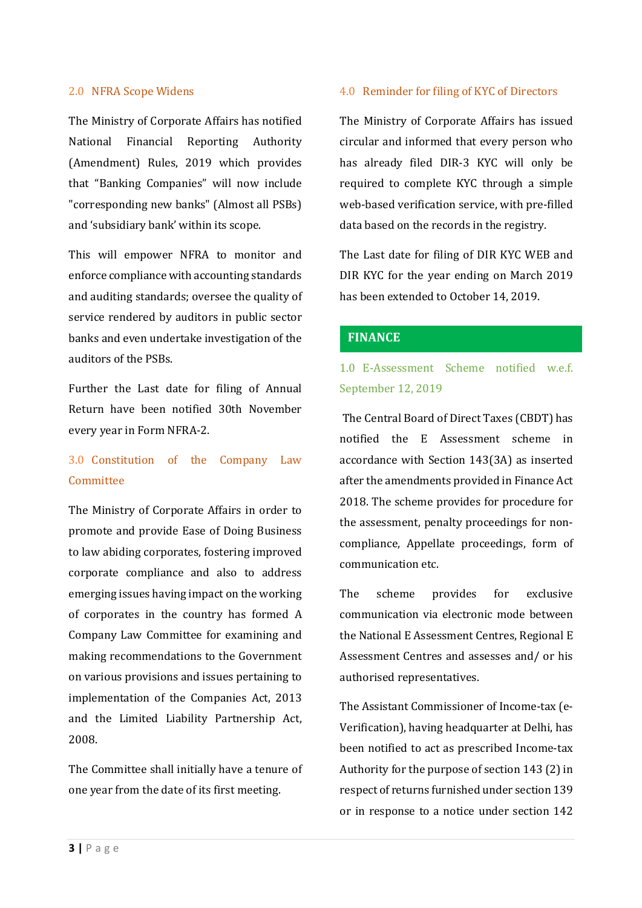### 2.0 NFRA Scope Widens

The Ministry of Corporate Affairs has notified National Financial Reporting Authority (Amendment) Rules, 2019 which provides that "Banking Companies" will now include "corresponding new banks" (Almost all PSBs) and 'subsidiary bank' within its scope.

This will empower NFRA to monitor and enforce compliance with accounting standards and auditing standards; oversee the quality of service rendered by auditors in public sector banks and even undertake investigation of the auditors of the PSBs.

Further the Last date for filing of Annual Return have been notified 30th November every year in Form NFRA-2.

### 3.0 Constitution of the Company Law Committee

The Ministry of Corporate Affairs in order to promote and provide Ease of Doing Business to law abiding corporates, fostering improved corporate compliance and also to address emerging issues having impact on the working of corporates in the country has formed A Company Law Committee for examining and making recommendations to the Government on various provisions and issues pertaining to implementation of the Companies Act, 2013 and the Limited Liability Partnership Act, 2008.

The Committee shall initially have a tenure of one year from the date of its first meeting.

### 4.0 Reminder for filing of KYC of Directors

The Ministry of Corporate Affairs has issued circular and informed that every person who has already filed DIR-3 KYC will only be required to complete KYC through a simple web-based verification service, with pre-filled data based on the records in the registry.

The Last date for filing of DIR KYC WEB and DIR KYC for the year ending on March 2019 has been extended to October 14, 2019.

#### **FINANCE**

### 1.0 E-Assessment Scheme notified w.e.f. September 12, 2019

The Central Board of Direct Taxes (CBDT) has notified the E Assessment scheme in accordance with Section 143(3A) as inserted after the amendments provided in Finance Act 2018. The scheme provides for procedure for the assessment, penalty proceedings for noncompliance, Appellate proceedings, form of communication etc.

The scheme provides for exclusive communication via electronic mode between the National E Assessment Centres, Regional E Assessment Centres and assesses and/ or his authorised representatives.

The Assistant Commissioner of Income-tax (e-Verification), having headquarter at Delhi, has been notified to act as prescribed Income-tax Authority for the purpose of section 143 (2) in respect of returns furnished under section 139 or in response to a notice under section 142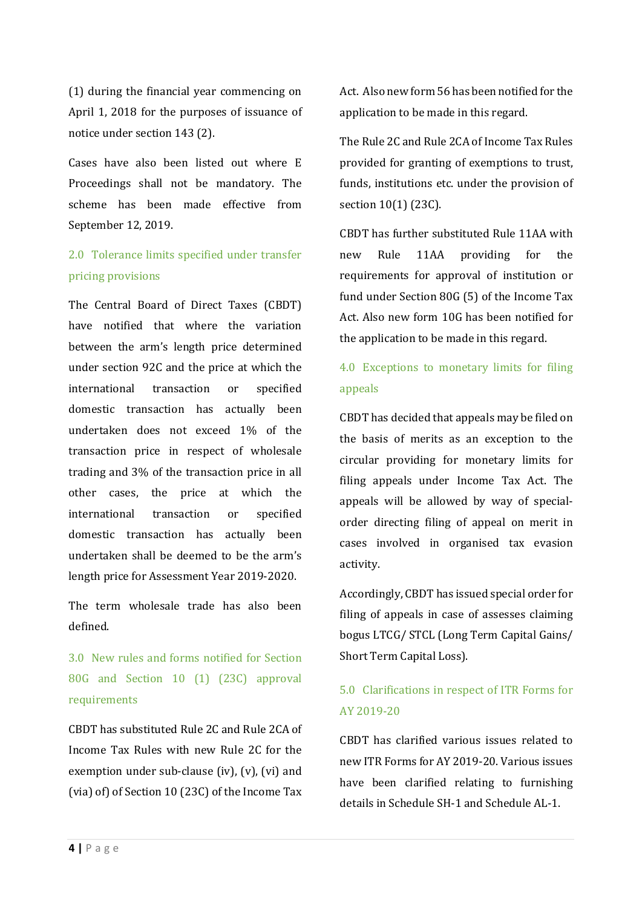(1) during the financial year commencing on April 1, 2018 for the purposes of issuance of notice under section 143 (2).

Cases have also been listed out where E Proceedings shall not be mandatory. The scheme has been made effective from September 12, 2019.

# 2.0 Tolerance limits specified under transfer pricing provisions

The Central Board of Direct Taxes (CBDT) have notified that where the variation between the arm's length price determined under section 92C and the price at which the international transaction or specified domestic transaction has actually been undertaken does not exceed 1% of the transaction price in respect of wholesale trading and 3% of the transaction price in all other cases, the price at which the international transaction or specified domestic transaction has actually been undertaken shall be deemed to be the arm's length price for Assessment Year 2019-2020.

The term wholesale trade has also been defined.

3.0 New rules and forms notified for Section 80G and Section 10 (1) (23C) approval requirements

CBDT has substituted Rule 2C and Rule 2CA of Income Tax Rules with new Rule 2C for the exemption under sub-clause (iv), (v), (vi) and (via) of) of Section 10 (23C) of the Income Tax Act. Also new form 56 has been notified for the application to be made in this regard.

The Rule 2C and Rule 2CA of Income Tax Rules provided for granting of exemptions to trust, funds, institutions etc. under the provision of section 10(1) (23C).

CBDT has further substituted Rule 11AA with new Rule 11AA providing for the requirements for approval of institution or fund under Section 80G (5) of the Income Tax Act. Also new form 10G has been notified for the application to be made in this regard.

# 4.0 Exceptions to monetary limits for filing appeals

CBDT has decided that appeals may be filed on the basis of merits as an exception to the circular providing for monetary limits for filing appeals under Income Tax Act. The appeals will be allowed by way of specialorder directing filing of appeal on merit in cases involved in organised tax evasion activity.

Accordingly, CBDT has issued special order for filing of appeals in case of assesses claiming bogus LTCG/ STCL (Long Term Capital Gains/ Short Term Capital Loss).

# 5.0 Clarifications in respect of ITR Forms for AY 2019-20

CBDT has clarified various issues related to new ITR Forms for AY 2019-20. Various issues have been clarified relating to furnishing details in Schedule SH-1 and Schedule AL-1.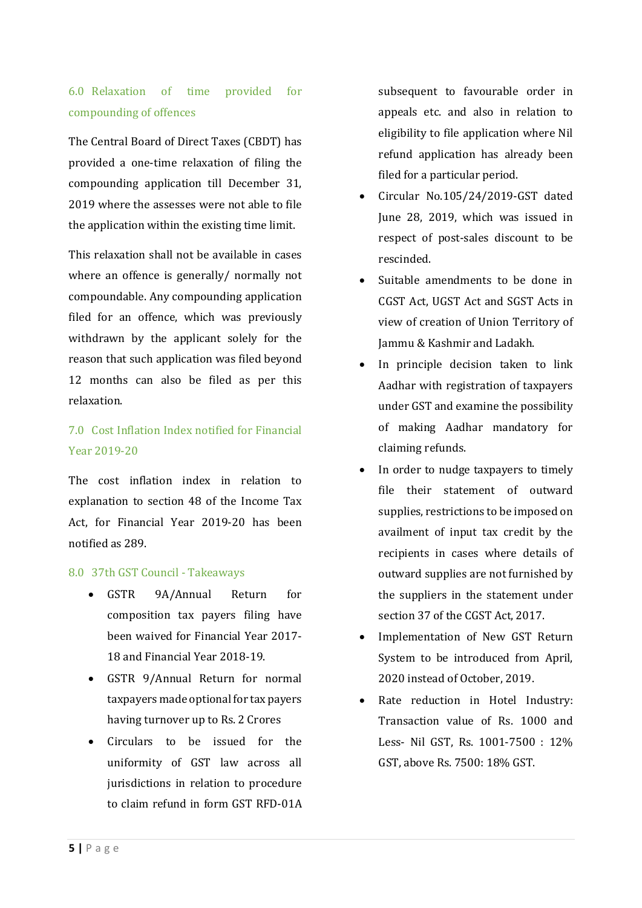# 6.0 Relaxation of time provided for compounding of offences

The Central Board of Direct Taxes (CBDT) has provided a one-time relaxation of filing the compounding application till December 31, 2019 where the assesses were not able to file the application within the existing time limit.

This relaxation shall not be available in cases where an offence is generally/ normally not compoundable. Any compounding application filed for an offence, which was previously withdrawn by the applicant solely for the reason that such application was filed beyond 12 months can also be filed as per this relaxation.

# 7.0 Cost Inflation Index notified for Financial Year 2019-20

The cost inflation index in relation to explanation to section 48 of the Income Tax Act, for Financial Year 2019-20 has been notified as 289.

### 8.0 37th GST Council - Takeaways

- GSTR 9A/Annual Return for composition tax payers filing have been waived for Financial Year 2017- 18 and Financial Year 2018-19.
- GSTR 9/Annual Return for normal taxpayers made optional for tax payers having turnover up to Rs. 2 Crores
- Circulars to be issued for the uniformity of GST law across all jurisdictions in relation to procedure to claim refund in form GST RFD-01A

subsequent to favourable order in appeals etc. and also in relation to eligibility to file application where Nil refund application has already been filed for a particular period.

- Circular No.105/24/2019-GST dated June 28, 2019, which was issued in respect of post-sales discount to be rescinded.
- Suitable amendments to be done in CGST Act, UGST Act and SGST Acts in view of creation of Union Territory of Jammu & Kashmir and Ladakh.
- In principle decision taken to link Aadhar with registration of taxpayers under GST and examine the possibility of making Aadhar mandatory for claiming refunds.
- In order to nudge taxpayers to timely file their statement of outward supplies, restrictions to be imposed on availment of input tax credit by the recipients in cases where details of outward supplies are not furnished by the suppliers in the statement under section 37 of the CGST Act, 2017.
- Implementation of New GST Return System to be introduced from April, 2020 instead of October, 2019.
- Rate reduction in Hotel Industry: Transaction value of Rs. 1000 and Less- Nil GST, Rs. 1001-7500 : 12% GST, above Rs. 7500: 18% GST.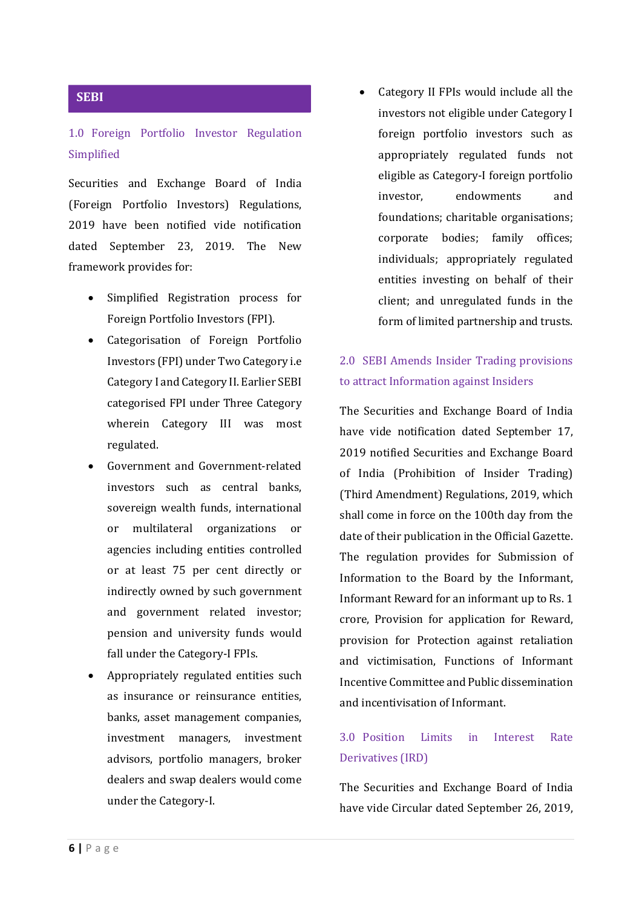#### **SEBI**

### 1.0 Foreign Portfolio Investor Regulation Simplified

Securities and Exchange Board of India (Foreign Portfolio Investors) Regulations, 2019 have been notified vide notification dated September 23, 2019. The New framework provides for:

- Simplified Registration process for Foreign Portfolio Investors (FPI).
- Categorisation of Foreign Portfolio Investors (FPI) under Two Category i.e Category I and Category II. Earlier SEBI categorised FPI under Three Category wherein Category III was most regulated.
- Government and Government-related investors such as central banks, sovereign wealth funds, international or multilateral organizations or agencies including entities controlled or at least 75 per cent directly or indirectly owned by such government and government related investor; pension and university funds would fall under the Category-I FPIs.
- Appropriately regulated entities such as insurance or reinsurance entities, banks, asset management companies, investment managers, investment advisors, portfolio managers, broker dealers and swap dealers would come under the Category-I.

 Category II FPIs would include all the investors not eligible under Category I foreign portfolio investors such as appropriately regulated funds not eligible as Category-I foreign portfolio investor, endowments and foundations; charitable organisations; corporate bodies; family offices; individuals; appropriately regulated entities investing on behalf of their client; and unregulated funds in the form of limited partnership and trusts.

## 2.0 SEBI Amends Insider Trading provisions to attract Information against Insiders

The Securities and Exchange Board of India have vide notification dated September 17, 2019 notified Securities and Exchange Board of India (Prohibition of Insider Trading) (Third Amendment) Regulations, 2019, which shall come in force on the 100th day from the date of their publication in the Official Gazette. The regulation provides for Submission of Information to the Board by the Informant, Informant Reward for an informant up to Rs. 1 crore, Provision for application for Reward, provision for Protection against retaliation and victimisation, Functions of Informant Incentive Committee and Public dissemination and incentivisation of Informant.

### 3.0 Position Limits in Interest Rate Derivatives (IRD)

The Securities and Exchange Board of India have vide Circular dated September 26, 2019,